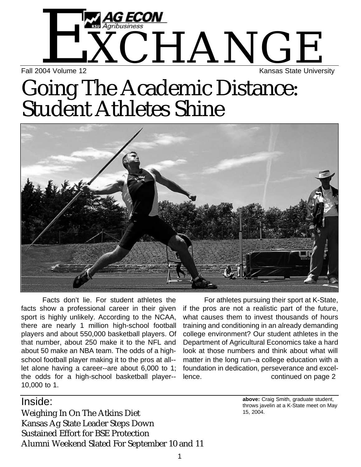# $\rm \rm \Sigma_{\rm \Sigma}$   $\rm \Lambda_{\rm \Sigma}$  and  $\rm \Lambda_{\rm \Sigma}$   $\rm \Lambda_{\rm \Sigma}$   $\rm \Lambda_{\rm \Sigma}$   $\rm \Lambda_{\rm \Sigma}$   $\rm \Lambda_{\rm \Sigma}$   $\rm \Lambda_{\rm \Sigma}$   $\rm \Lambda_{\rm \Sigma}$   $\rm \Lambda_{\rm \Sigma}$   $\rm \Lambda_{\rm \Sigma}$   $\rm \Lambda_{\rm \Sigma}$   $\rm \Lambda_{\rm \Sigma}$   $\rm \Lambda_{\rm \Sigma}$   $\rm \Lambda_{\rm \Sigma}$   $\rm \Lambda_{\rm \Sigma}$   $\rm \Lambda_{\$ Kansas State University

## Going The Academic Distance: Student Athletes Shine



Facts don't lie. For student athletes the facts show a professional career in their given sport is highly unlikely. According to the NCAA, there are nearly 1 million high-school football players and about 550,000 basketball players. Of that number, about 250 make it to the NFL and about 50 make an NBA team. The odds of a highschool football player making it to the pros at all- let alone having a career--are about 6,000 to 1; the odds for a high-school basketball player-- 10,000 to 1.

Inside:

For athletes pursuing their sport at K-State, if the pros are not a realistic part of the future, what causes them to invest thousands of hours training and conditioning in an already demanding college environment? Our student athletes in the Department of Agricultural Economics take a hard look at those numbers and think about what will matter in the long run--a college education with a foundation in dedication, perseverance and excellence. continued on page 2

Weighing In On The Atkins Diet Kansas Ag State Leader Steps Down Sustained Effort for BSE Protection Alumni Weekend Slated For September 10 and 11 **above:** Craig Smith, graduate student, throws javelin at a K-State meet on May 15, 2004.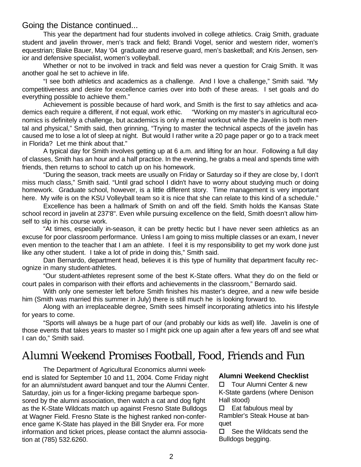#### Going the Distance continued...

This year the department had four students involved in college athletics. Craig Smith, graduate student and javelin thrower, men's track and field; Brandi Vogel, senior and western rider, women's equestrian; Blake Bauer, May '04 graduate and reserve guard, men's basketball; and Kris Jensen, senior and defensive specialist, women's volleyball.

Whether or not to be involved in track and field was never a question for Craig Smith. It was another goal he set to achieve in life.

"I see both athletics and academics as a challenge. And I love a challenge," Smith said. "My competitiveness and desire for excellence carries over into both of these areas. I set goals and do everything possible to achieve them."

Achievement is possible because of hard work, and Smith is the first to say athletics and academics each require a different, if not equal, work ethic. "Working on my master's in agricultural economics is definitely a challenge, but academics is only a mental workout while the Javelin is both mental and physical," Smith said, then grinning, "Trying to master the technical aspects of the javelin has caused me to lose a lot of sleep at night. But would I rather write a 20 page paper or go to a track meet in Florida? Let me think about that."

A typical day for Smith involves getting up at 6 a.m. and lifting for an hour. Following a full day of classes, Smith has an hour and a half practice. In the evening, he grabs a meal and spends time with friends, then returns to school to catch up on his homework.

"During the season, track meets are usually on Friday or Saturday so if they are close by, I don't miss much class," Smith said. "Until grad school I didn't have to worry about studying much or doing homework. Graduate school, however, is a little different story. Time management is very important here. My wife is on the KSU Volleyball team so it is nice that she can relate to this kind of a schedule."

Excellence has been a hallmark of Smith on and off the field. Smith holds the Kansas State school record in javelin at 237'8". Even while pursuing excellence on the field, Smith doesn't allow himself to slip in his course work.

"At times, especially in-season, it can be pretty hectic but I have never seen athletics as an excuse for poor classroom performance. Unless I am going to miss multiple classes or an exam, I never even mention to the teacher that I am an athlete. I feel it is my responsibility to get my work done just like any other student. I take a lot of pride in doing this," Smith said.

Dan Bernardo, department head, believes it is this type of humility that department faculty recognize in many student-athletes.

"Our student-athletes represent some of the best K-State offers. What they do on the field or court pales in comparison with their efforts and achievements in the classroom," Bernardo said.

With only one semester left before Smith finishes his master's degree, and a new wife beside him (Smith was married this summer in July) there is still much he is looking forward to.

Along with an irreplaceable degree, Smith sees himself incorporating athletics into his lifestyle for years to come.

"Sports will always be a huge part of our (and probably our kids as well) life. Javelin is one of those events that takes years to master so I might pick one up again after a few years off and see what I can do," Smith said.

### Alumni Weekend Promises Football, Food, Friends and Fun

The Department of Agricultural Economics alumni weekend is slated for September 10 and 11, 2004. Come Friday night for an alumni/student award banquet and tour the Alumni Center. Saturday, join us for a finger-licking pregame barbeque sponsored by the alumni association, then watch a cat and dog fight as the K-State Wildcats match up against Fresno State Bulldogs at Wagner Field. Fresno State is the highest ranked non-conference game K-State has played in the Bill Snyder era. For more information and ticket prices, please contact the alumni association at (785) 532.6260.

#### **Alumni Weekend Checklist**

□ Tour Alumni Center & new K-State gardens (where Denison Hall stood)

 $\square$  Eat fabulous meal by Rambler's Steak House at banquet

 $\Box$  See the Wildcats send the Bulldogs begging.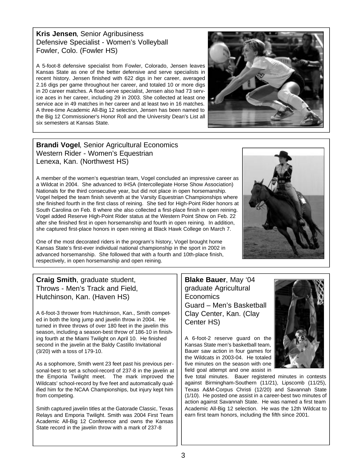**Kris Jensen**, Senior Agribusiness Defensive Specialist - Women's Volleyball Fowler, Colo. (Fowler HS)

A 5-foot-8 defensive specialist from Fowler, Colorado, Jensen leaves Kansas State as one of the better defensive and serve specialists in recent history. Jensen finished with 622 digs in her career, averaged 2.16 digs per game throughout her career, and totaled 10 or more digs in 20 career matches. A float-serve specialist, Jensen also had 73 service aces in her career, including 29 in 2003. She collected at least one service ace in 49 matches in her career and at least two in 16 matches. A three-time Academic All-Big 12 selection, Jensen has been named to the Big 12 Commissioner's Honor Roll and the University Dean's List all six semesters at Kansas State.



**Brandi Vogel**, Senior Agricultural Economics Western Rider - Women's Equestrian Lenexa, Kan. (Northwest HS)

A member of the women's equestrian team, Vogel concluded an impressive career as a Wildcat in 2004. She advanced to IHSA (Intercollegiate Horse Show Association) Nationals for the third consecutive year, but did not place in open horsemanship. Vogel helped the team finish seventh at the Varsity Equestrian Championships where she finished fourth in the first class of reining. She tied for High-Point Rider honors at South Carolina on Feb. 8 where she also collected a first-place finish in open reining. Vogel added Reserve High-Point Rider status at the Western Point Show on Feb. 22 after she finished first in open horsemanship and fourth in open reining. In addition, she captured first-place honors in open reining at Black Hawk College on March 7.

One of the most decorated riders in the program's history, Vogel brought home Kansas State's first-ever individual national championship in the sport in 2002 in advanced horsemanship. She followed that with a fourth and 10th-place finish, respectively, in open horsemanship and open reining.



### **Craig Smith**, graduate student, Throws - Men's Track and Field, Hutchinson, Kan. (Haven HS)

A 6-foot-3 thrower from Hutchinson, Kan., Smith competed in both the long jump and javelin throw in 2004. He turned in three throws of over 180 feet in the javelin this season, including a season-best throw of 186-10 in finishing fourth at the Miami Twilight on April 10. He finished second in the javelin at the Baldy Castillo Invitational (3/20) with a toss of 179-10.

As a sophomore, Smith went 23 feet past his previous personal-best to set a school-record of 237-8 in the javelin at the Emporia Twilight meet. The mark improved the Wildcats' school-record by five feet and automatically qualified him for the NCAA Championships, but injury kept him from competing.

Smith captured javelin titles at the Gatorade Classic, Texas Relays and Emporia Twilight. Smith was 2004 First Team Academic All-Big 12 Conference and owns the Kansas State record in the javelin throw with a mark of 237-8

**Blake Bauer**, May '04 graduate Agricultural **Economics** Guard – Men's Basketball Clay Center, Kan. (Clay Center HS)

A 6-foot-2 reserve guard on the Kansas State men's basketball team, Bauer saw action in four games for the Wildcats in 2003-04. He totaled five minutes on the season with one field goal attempt and one assist in



five total minutes. Bauer registered minutes in contests against Birmingham-Southern (11/21), Lipscomb (11/25), Texas A&M-Corpus Christi (12/20) and Savannah State (1/10). He posted one assist in a career-best two minutes of action against Savannah State. He was named a first team Academic All-Big 12 selection. He was the 12th Wildcat to earn first team honors, including the fifth since 2001.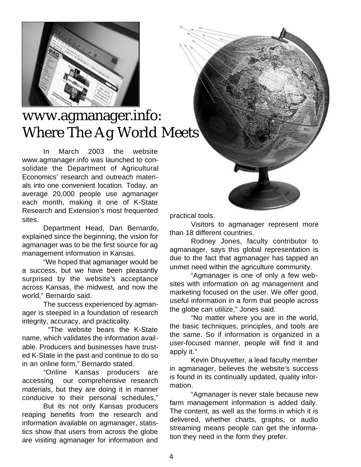

### www.agmanager.info: Where The Ag World Meets

In March 2003 the website www.agmanager.info was launched to consolidate the Department of Agricultural Economics' research and outreach materials into one convenient location. Today, an average 20,000 people use agmanager each month, making it one of K-State Research and Extension's most frequented sites.

Department Head, Dan Bernardo, explained since the beginning, the vision for agmanager was to be the first source for ag management information in Kansas.

"We hoped that agmanager would be a success, but we have been pleasantly surprised by the website's acceptance across Kansas, the midwest, and now the world," Bernardo said.

The success experienced by agmanager is steeped in a foundation of research integrity, accuracy, and practicality.

"The website bears the K-State name, which validates the information available. Producers and businesses have trusted K-State in the past and continue to do so in an online form," Bernardo stated.

"Online Kansas producers are accessing our comprehensive research materials, but they are doing it in manner conducive to their personal schedules,"

But its not only Kansas producers reaping benefits from the research and information available on agmanager, statistics show that users from across the globe are visiting agmanager for information and practical tools.

Visitors to agmanager represent more than 18 different countries.

Rodney Jones, faculty contributor to agmanager, says this global representation is due to the fact that agmanager has tapped an unmet need within the agriculture community.

"Agmanager is one of only a few websites with information on ag management and marketing focused on the user. We offer good, useful information in a form that people across the globe can utilize," Jones said.

"No matter where you are in the world, the basic techniques, principles, and tools are the same. So if information is organized in a user-focused manner, people will find it and apply it."

Kevin Dhuyvetter, a lead faculty member in agmanager, believes the website's success is found in its continually updated, quality information.

"Agmanager is never stale because new farm management information is added daily. The content, as well as the forms in which it is delivered, whether charts, graphs, or audio streaming means people can get the information they need in the form they prefer.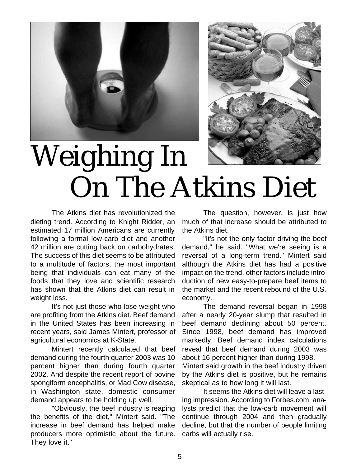



## Weighing In On The Atkins Diet

The Atkins diet has revolutionized the dieting trend. According to Knight Ridder, an estimated 17 million Americans are currently following a formal low-carb diet and another 42 million are cutting back on carbohydrates. The success of this diet seems to be attributed to a multitude of factors, the most important being that individuals can eat many of the foods that they love and scientific research has shown that the Atkins diet can result in weight loss.

It's not just those who lose weight who are profiting from the Atkins diet. Beef demand in the United States has been increasing in recent years, said James Mintert, professor of agricultural economics at K-State.

Mintert recently calculated that beef demand during the fourth quarter 2003 was 10 percent higher than during fourth quarter 2002. And despite the recent report of bovine spongiform encephalitis, or Mad Cow disease, in Washington state, domestic consumer demand appears to be holding up well.

"Obviously, the beef industry is reaping the benefits of the diet," Mintert said. "The increase in beef demand has helped make producers more optimistic about the future. They love it."

The question, however, is just how much of that increase should be attributed to the Atkins diet.

"It's not the only factor driving the beef demand," he said. "What we're seeing is a reversal of a long-term trend." Mintert said although the Atkins diet has had a positive impact on the trend, other factors include introduction of new easy-to-prepare beef items to the market and the recent rebound of the U.S. economy.

The demand reversal began in 1998 after a nearly 20-year slump that resulted in beef demand declining about 50 percent. Since 1998, beef demand has improved markedly. Beef demand index calculations reveal that beef demand during 2003 was about 16 percent higher than during 1998. Mintert said growth in the beef industry driven by the Atkins diet is positive, but he remains skeptical as to how long it will last.

It seems the Atkins diet will leave a lasting impression. According to Forbes.com, analysts predict that the low-carb movement will continue through 2004 and then gradually decline, but that the number of people limiting carbs will actually rise.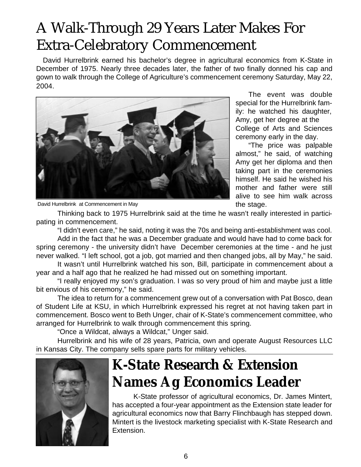## A Walk-Through 29 Years Later Makes For Extra-Celebratory Commencement

David Hurrelbrink earned his bachelor's degree in agricultural economics from K-State in December of 1975. Nearly three decades later, the father of two finally donned his cap and gown to walk through the College of Agriculture's commencement ceremony Saturday, May 22, 2004.



The event was double special for the Hurrelbrink family: he watched his daughter, Amy, get her degree at the College of Arts and Sciences ceremony early in the day.

"The price was palpable almost," he said, of watching Amy get her diploma and then taking part in the ceremonies himself. He said he wished his mother and father were still alive to see him walk across the stage.

David Hurrelbrink at Commencement in May

Thinking back to 1975 Hurrelbrink said at the time he wasn't really interested in participating in commencement.

"I didn't even care," he said, noting it was the 70s and being anti-establishment was cool. Add in the fact that he was a December graduate and would have had to come back for spring ceremony - the university didn't have December ceremonies at the time - and he just never walked. "I left school, got a job, got married and then changed jobs, all by May," he said.

It wasn't until Hurrelbrink watched his son, Bill, participate in commencement about a year and a half ago that he realized he had missed out on something important.

"I really enjoyed my son's graduation. I was so very proud of him and maybe just a little bit envious of his ceremony," he said.

The idea to return for a commencement grew out of a conversation with Pat Bosco, dean of Student Life at KSU, in which Hurrelbrink expressed his regret at not having taken part in commencement. Bosco went to Beth Unger, chair of K-State's commencement committee, who arranged for Hurrelbrink to walk through commencement this spring.

"Once a Wildcat, always a Wildcat," Unger said.

Hurrelbrink and his wife of 28 years, Patricia, own and operate August Resources LLC in Kansas City. The company sells spare parts for military vehicles.



## **K-State Research & Extension Names Ag Economics Leader**

K-State professor of agricultural economics, Dr. James Mintert, has accepted a four-year appointment as the Extension state leader for agricultural economics now that Barry Flinchbaugh has stepped down. Mintert is the livestock marketing specialist with K-State Research and Extension.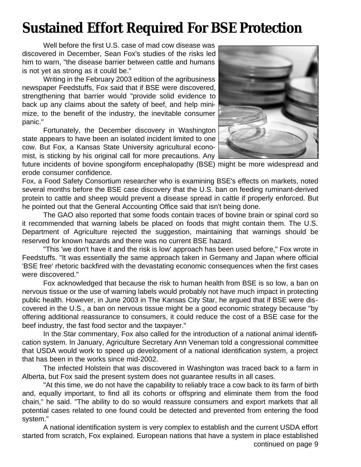## **Sustained Effort Required For BSE Protection**

Well before the first U.S. case of mad cow disease was discovered in December, Sean Fox's studies of the risks led him to warn, "the disease barrier between cattle and humans is not yet as strong as it could be."

Writing in the February 2003 edition of the agribusiness newspaper Feedstuffs, Fox said that if BSE were discovered, strengthening that barrier would "provide solid evidence to back up any claims about the safety of beef, and help minimize, to the benefit of the industry, the inevitable consumer panic."

Fortunately, the December discovery in Washington state appears to have been an isolated incident limited to one cow. But Fox, a Kansas State University agricultural economist, is sticking by his original call for more precautions. Any



future incidents of bovine spongiform encephalopathy (BSE) might be more widespread and erode consumer confidence.

Fox, a Food Safety Consortium researcher who is examining BSE's effects on markets, noted several months before the BSE case discovery that the U.S. ban on feeding ruminant-derived protein to cattle and sheep would prevent a disease spread in cattle if properly enforced. But he pointed out that the General Accounting Office said that isn't being done.

The GAO also reported that some foods contain traces of bovine brain or spinal cord so it recommended that warning labels be placed on foods that might contain them. The U.S. Department of Agriculture rejected the suggestion, maintaining that warnings should be reserved for known hazards and there was no current BSE hazard.

"This 'we don't have it and the risk is low' approach has been used before," Fox wrote in Feedstuffs. "It was essentially the same approach taken in Germany and Japan where official 'BSE free' rhetoric backfired with the devastating economic consequences when the first cases were discovered."

Fox acknowledged that because the risk to human health from BSE is so low, a ban on nervous tissue or the use of warning labels would probably not have much impact in protecting public health. However, in June 2003 in The Kansas City Star, he argued that if BSE were discovered in the U.S., a ban on nervous tissue might be a good economic strategy because "by offering additional reassurance to consumers, it could reduce the cost of a BSE case for the beef industry, the fast food sector and the taxpayer."

In the Star commentary, Fox also called for the introduction of a national animal identification system. In January, Agriculture Secretary Ann Veneman told a congressional committee that USDA would work to speed up development of a national identification system, a project that has been in the works since mid-2002.

The infected Holstein that was discovered in Washington was traced back to a farm in Alberta, but Fox said the present system does not guarantee results in all cases.

"At this time, we do not have the capability to reliably trace a cow back to its farm of birth and, equally important, to find all its cohorts or offspring and eliminate them from the food chain," he said. "The ability to do so would reassure consumers and export markets that all potential cases related to one found could be detected and prevented from entering the food system."

A national identification system is very complex to establish and the current USDA effort started from scratch, Fox explained. European nations that have a system in place established continued on page 9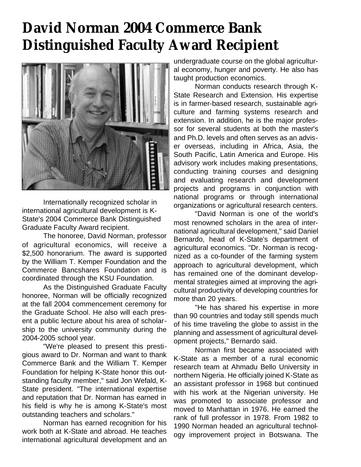## **David Norman 2004 Commerce Bank Distinguished Faculty Award Recipient**



Internationally recognized scholar in international agricultural development is K-State's 2004 Commerce Bank Distinguished Graduate Faculty Award recipient.

The honoree, David Norman, professor of agricultural economics, will receive a \$2,500 honorarium. The award is supported by the William T. Kemper Foundation and the Commerce Bancshares Foundation and is coordinated through the KSU Foundation.

As the Distinguished Graduate Faculty honoree, Norman will be officially recognized at the fall 2004 commencement ceremony for the Graduate School. He also will each present a public lecture about his area of scholarship to the university community during the 2004-2005 school year.

"We're pleased to present this prestigious award to Dr. Norman and want to thank Commerce Bank and the William T. Kemper Foundation for helping K-State honor this outstanding faculty member," said Jon Wefald, K-State president. "The international expertise and reputation that Dr. Norman has earned in his field is why he is among K-State's most outstanding teachers and scholars."

Norman has earned recognition for his work both at K-State and abroad. He teaches international agricultural development and an undergraduate course on the global agricultural economy, hunger and poverty. He also has taught production economics.

Norman conducts research through K-State Research and Extension. His expertise is in farmer-based research, sustainable agriculture and farming systems research and extension. In addition, he is the major professor for several students at both the master's and Ph.D. levels and often serves as an adviser overseas, including in Africa, Asia, the South Pacific, Latin America and Europe. His advisory work includes making presentations, conducting training courses and designing and evaluating research and development projects and programs in conjunction with national programs or through international organizations or agricultural research centers.

"David Norman is one of the world's most renowned scholars in the area of international agricultural development," said Daniel Bernardo, head of K-State's department of agricultural economics. "Dr. Norman is recognized as a co-founder of the farming system approach to agricultural development, which has remained one of the dominant developmental strategies aimed at improving the agricultural productivity of developing countries for more than 20 years.

"He has shared his expertise in more than 90 countries and today still spends much of his time traveling the globe to assist in the planning and assessment of agricultural development projects," Bernardo said.

Norman first became associated with K-State as a member of a rural economic research team at Ahmadu Bello University in northern Nigeria. He officially joined K-State as an assistant professor in 1968 but continued with his work at the Nigerian university. He was promoted to associate professor and moved to Manhattan in 1976. He earned the rank of full professor in 1978. From 1982 to 1990 Norman headed an agricultural technology improvement project in Botswana. The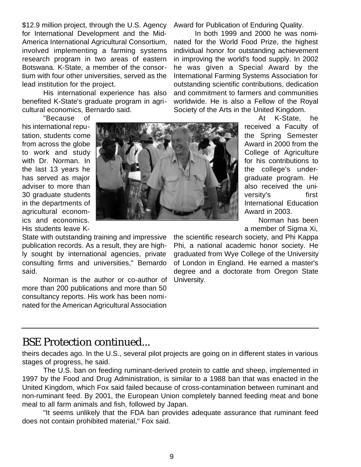\$12.9 million project, through the U.S. Agency for International Development and the Mid-America International Agricultural Consortium, involved implementing a farming systems research program in two areas of eastern Botswana. K-State, a member of the consortium with four other universities, served as the lead institution for the project.

His international experience has also benefited K-State's graduate program in agricultural economics, Bernardo said.

"Because of his international reputation, students come from across the globe to work and study with Dr. Norman. In the last 13 years he has served as major adviser to more than 30 graduate students in the departments of agricultural economics and economics. His students leave K-

State with outstanding training and impressive publication records. As a result, they are highly sought by international agencies, private consulting firms and universities," Bernardo said.

Norman is the author or co-author of more than 200 publications and more than 50 consultancy reports. His work has been nominated for the American Agricultural Association

Award for Publication of Enduring Quality.

In both 1999 and 2000 he was nominated for the World Food Prize, the highest individual honor for outstanding achievement in improving the world's food supply. In 2002 he was given a Special Award by the International Farming Systems Association for outstanding scientific contributions, dedication and commitment to farmers and communities worldwide. He is also a Fellow of the Royal Society of the Arts in the United Kingdom.



At K-State, he received a Faculty of the Spring Semester Award in 2000 from the College of Agriculture for his contributions to the college's undergraduate program. He also received the university's first International Education Award in 2003.

Norman has been a member of Sigma Xi,

the scientific research society, and Phi Kappa Phi, a national academic honor society. He graduated from Wye College of the University of London in England. He earned a master's degree and a doctorate from Oregon State University.

### BSE Protection continued...

theirs decades ago. In the U.S., several pilot projects are going on in different states in various stages of progress, he said.

The U.S. ban on feeding ruminant-derived protein to cattle and sheep, implemented in 1997 by the Food and Drug Administration, is similar to a 1988 ban that was enacted in the United Kingdom, which Fox said failed because of cross-contamination between ruminant and non-ruminant feed. By 2001, the European Union completely banned feeding meat and bone meal to all farm animals and fish, followed by Japan.

"It seems unlikely that the FDA ban provides adequate assurance that ruminant feed does not contain prohibited material," Fox said.